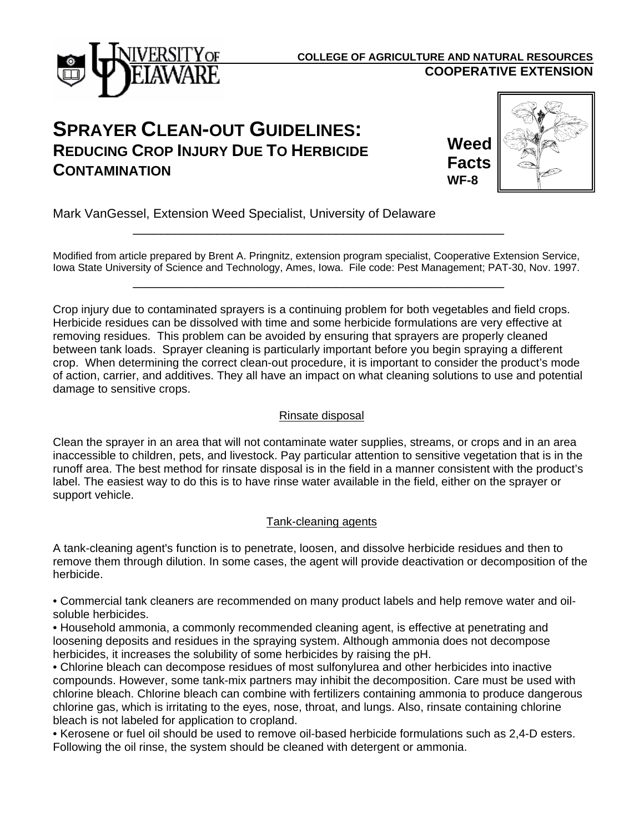

### **COOPERATIVE EXTENSION COLLEGE OF AGRICULTURE AND NATURAL RESOURCES**

# **SPRAYER CLEAN-OUT GUIDELINES: REDUCING CROP INJURY DUE TO HERBICIDE CONTAMINATION**

**Weed Facts WF-8**



Mark VanGessel, Extension Weed Specialist, University of Delaware

\_\_\_\_\_\_\_\_\_\_\_\_\_\_\_\_\_\_\_\_\_\_\_\_\_\_\_\_\_\_\_\_\_\_\_\_\_\_\_\_\_\_\_\_\_\_\_\_\_\_\_\_\_

\_\_\_\_\_\_\_\_\_\_\_\_\_\_\_\_\_\_\_\_\_\_\_\_\_\_\_\_\_\_\_\_\_\_\_\_\_\_\_\_\_\_\_\_\_\_\_\_\_\_\_\_\_

Modified from article prepared by Brent A. Pringnitz, extension program specialist, Cooperative Extension Service, Iowa State University of Science and Technology, Ames, Iowa. File code: Pest Management; PAT-30, Nov. 1997.

Crop injury due to contaminated sprayers is a continuing problem for both vegetables and field crops. Herbicide residues can be dissolved with time and some herbicide formulations are very effective at removing residues. This problem can be avoided by ensuring that sprayers are properly cleaned between tank loads. Sprayer cleaning is particularly important before you begin spraying a different crop. When determining the correct clean-out procedure, it is important to consider the product's mode of action, carrier, and additives. They all have an impact on what cleaning solutions to use and potential damage to sensitive crops.

#### Rinsate disposal

Clean the sprayer in an area that will not contaminate water supplies, streams, or crops and in an area inaccessible to children, pets, and livestock. Pay particular attention to sensitive vegetation that is in the runoff area. The best method for rinsate disposal is in the field in a manner consistent with the product's label. The easiest way to do this is to have rinse water available in the field, either on the sprayer or support vehicle.

#### Tank-cleaning agents

A tank-cleaning agent's function is to penetrate, loosen, and dissolve herbicide residues and then to remove them through dilution. In some cases, the agent will provide deactivation or decomposition of the herbicide.

• Commercial tank cleaners are recommended on many product labels and help remove water and oilsoluble herbicides.

• Household ammonia, a commonly recommended cleaning agent, is effective at penetrating and loosening deposits and residues in the spraying system. Although ammonia does not decompose herbicides, it increases the solubility of some herbicides by raising the pH.

• Chlorine bleach can decompose residues of most sulfonylurea and other herbicides into inactive compounds. However, some tank-mix partners may inhibit the decomposition. Care must be used with chlorine bleach. Chlorine bleach can combine with fertilizers containing ammonia to produce dangerous chlorine gas, which is irritating to the eyes, nose, throat, and lungs. Also, rinsate containing chlorine bleach is not labeled for application to cropland.

• Kerosene or fuel oil should be used to remove oil-based herbicide formulations such as 2,4-D esters. Following the oil rinse, the system should be cleaned with detergent or ammonia.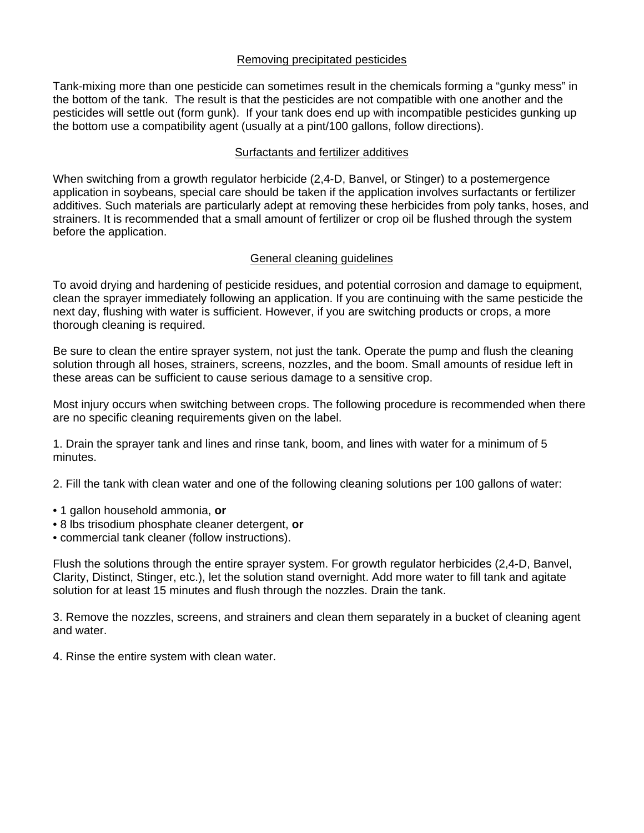#### Removing precipitated pesticides

Tank-mixing more than one pesticide can sometimes result in the chemicals forming a "gunky mess" in the bottom of the tank. The result is that the pesticides are not compatible with one another and the pesticides will settle out (form gunk). If your tank does end up with incompatible pesticides gunking up the bottom use a compatibility agent (usually at a pint/100 gallons, follow directions).

#### Surfactants and fertilizer additives

When switching from a growth regulator herbicide (2,4-D, Banvel, or Stinger) to a postemergence application in soybeans, special care should be taken if the application involves surfactants or fertilizer additives. Such materials are particularly adept at removing these herbicides from poly tanks, hoses, and strainers. It is recommended that a small amount of fertilizer or crop oil be flushed through the system before the application.

#### General cleaning guidelines

To avoid drying and hardening of pesticide residues, and potential corrosion and damage to equipment, clean the sprayer immediately following an application. If you are continuing with the same pesticide the next day, flushing with water is sufficient. However, if you are switching products or crops, a more thorough cleaning is required.

Be sure to clean the entire sprayer system, not just the tank. Operate the pump and flush the cleaning solution through all hoses, strainers, screens, nozzles, and the boom. Small amounts of residue left in these areas can be sufficient to cause serious damage to a sensitive crop.

Most injury occurs when switching between crops. The following procedure is recommended when there are no specific cleaning requirements given on the label.

1. Drain the sprayer tank and lines and rinse tank, boom, and lines with water for a minimum of 5 minutes.

2. Fill the tank with clean water and one of the following cleaning solutions per 100 gallons of water:

- 1 gallon household ammonia, **or**
- 8 lbs trisodium phosphate cleaner detergent, **or**
- commercial tank cleaner (follow instructions).

Flush the solutions through the entire sprayer system. For growth regulator herbicides (2,4-D, Banvel, Clarity, Distinct, Stinger, etc.), let the solution stand overnight. Add more water to fill tank and agitate solution for at least 15 minutes and flush through the nozzles. Drain the tank.

3. Remove the nozzles, screens, and strainers and clean them separately in a bucket of cleaning agent and water.

4. Rinse the entire system with clean water.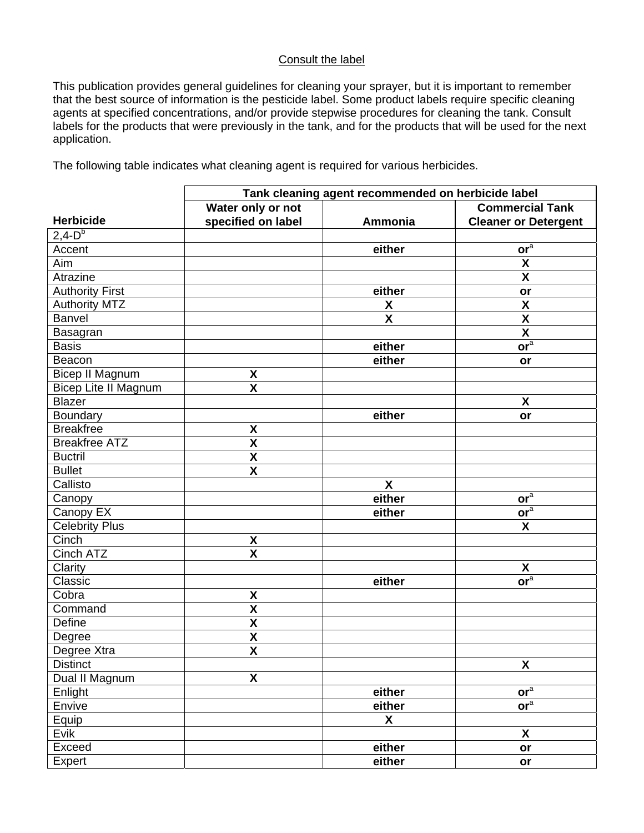## Consult the label

This publication provides general guidelines for cleaning your sprayer, but it is important to remember that the best source of information is the pesticide label. Some product labels require specific cleaning agents at specified concentrations, and/or provide stepwise procedures for cleaning the tank. Consult labels for the products that were previously in the tank, and for the products that will be used for the next application.

The following table indicates what cleaning agent is required for various herbicides.

|                        | Tank cleaning agent recommended on herbicide label |                           |                             |  |
|------------------------|----------------------------------------------------|---------------------------|-----------------------------|--|
|                        | Water only or not                                  |                           | <b>Commercial Tank</b>      |  |
| <b>Herbicide</b>       | specified on label                                 | Ammonia                   | <b>Cleaner or Detergent</b> |  |
| $2,4-Db$               |                                                    |                           |                             |  |
| Accent                 |                                                    | either                    | or <sup>a</sup>             |  |
| Aim                    |                                                    |                           | $\pmb{\mathsf{X}}$          |  |
| Atrazine               |                                                    |                           | $\boldsymbol{\mathsf{X}}$   |  |
| <b>Authority First</b> |                                                    | either                    | or                          |  |
| <b>Authority MTZ</b>   |                                                    | X                         | X                           |  |
| <b>Banvel</b>          |                                                    | $\boldsymbol{\mathsf{X}}$ | $\pmb{\mathsf{X}}$          |  |
| Basagran               |                                                    |                           | $\boldsymbol{\mathsf{X}}$   |  |
| <b>Basis</b>           |                                                    | either                    | or <sup>a</sup>             |  |
| Beacon                 |                                                    | either                    | or                          |  |
| <b>Bicep II Magnum</b> | X                                                  |                           |                             |  |
| Bicep Lite II Magnum   | $\overline{\mathbf{X}}$                            |                           |                             |  |
| <b>Blazer</b>          |                                                    |                           | X                           |  |
| Boundary               |                                                    | either                    | or                          |  |
| <b>Breakfree</b>       | $\boldsymbol{\mathsf{X}}$                          |                           |                             |  |
| <b>Breakfree ATZ</b>   | $\overline{\mathbf{X}}$                            |                           |                             |  |
| <b>Buctril</b>         | $\boldsymbol{\mathsf{X}}$                          |                           |                             |  |
| <b>Bullet</b>          | $\overline{\mathbf{X}}$                            |                           |                             |  |
| Callisto               |                                                    | $\boldsymbol{\mathsf{X}}$ |                             |  |
| Canopy                 |                                                    | either                    | or <sup>a</sup>             |  |
| Canopy EX              |                                                    | either                    | or <sup>a</sup>             |  |
| <b>Celebrity Plus</b>  |                                                    |                           | X                           |  |
| Cinch                  | X                                                  |                           |                             |  |
| Cinch ATZ              | $\overline{\mathsf{X}}$                            |                           |                             |  |
| Clarity                |                                                    |                           | X                           |  |
| Classic                |                                                    | either                    | or <sup>a</sup>             |  |
| Cobra                  | X                                                  |                           |                             |  |
| Command                | $\boldsymbol{\mathsf{X}}$                          |                           |                             |  |
| Define                 | $\boldsymbol{\mathsf{X}}$                          |                           |                             |  |
| Degree                 | $\boldsymbol{\mathsf{X}}$                          |                           |                             |  |
| Degree Xtra            | $\overline{\mathbf{X}}$                            |                           |                             |  |
| <b>Distinct</b>        |                                                    |                           | X                           |  |
| Dual II Magnum         | X                                                  |                           |                             |  |
| Enlight                |                                                    | either                    | or <sup>a</sup>             |  |
| Envive                 |                                                    | either                    | or <sup>a</sup>             |  |
| Equip                  |                                                    | X                         |                             |  |
| Evik                   |                                                    |                           | X                           |  |
| Exceed                 |                                                    | either                    | or                          |  |
| Expert                 |                                                    | either                    | or                          |  |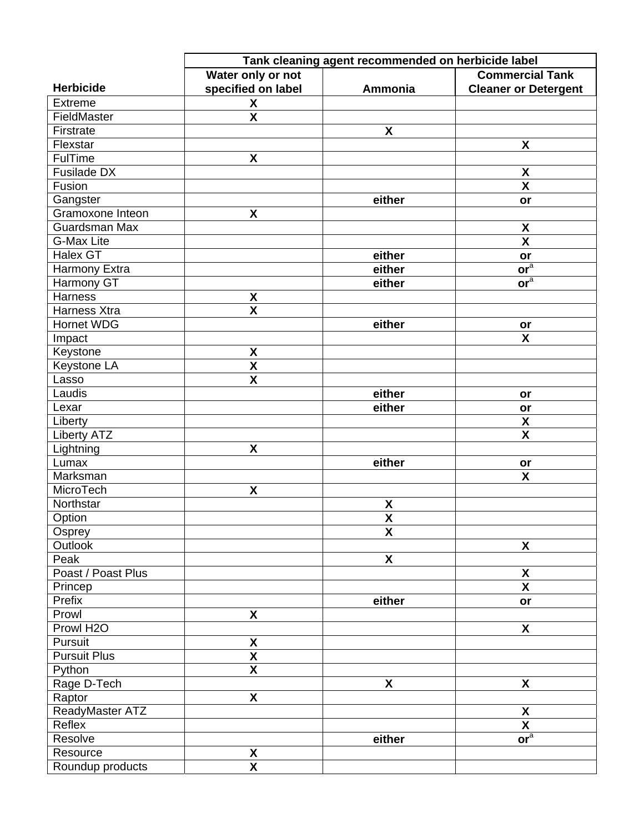|                       | Tank cleaning agent recommended on herbicide label |                           |                             |  |
|-----------------------|----------------------------------------------------|---------------------------|-----------------------------|--|
|                       | Water only or not                                  |                           | <b>Commercial Tank</b>      |  |
| <b>Herbicide</b>      | specified on label                                 | Ammonia                   | <b>Cleaner or Detergent</b> |  |
| <b>Extreme</b>        | X                                                  |                           |                             |  |
| FieldMaster           | $\mathsf{X}$                                       |                           |                             |  |
| Firstrate             |                                                    | $\boldsymbol{\mathsf{X}}$ |                             |  |
| Flexstar              |                                                    |                           | X                           |  |
| FulTime               | X                                                  |                           |                             |  |
| Fusilade DX           |                                                    |                           | X                           |  |
| Fusion                |                                                    |                           | $\mathbf x$                 |  |
| Gangster              |                                                    | either                    | or                          |  |
| Gramoxone Inteon      | X                                                  |                           |                             |  |
| Guardsman Max         |                                                    |                           | $\pmb{\mathsf{X}}$          |  |
| <b>G-Max Lite</b>     |                                                    |                           | $\overline{\mathbf{X}}$     |  |
| Halex GT              |                                                    | either                    | or                          |  |
| Harmony Extra         |                                                    | either                    | or <sup>a</sup>             |  |
| Harmony GT            |                                                    | either                    | or <sup>a</sup>             |  |
| Harness               | X                                                  |                           |                             |  |
| Harness Xtra          | $\overline{\mathbf{X}}$                            |                           |                             |  |
| <b>Hornet WDG</b>     |                                                    | either                    | or                          |  |
| Impact                |                                                    |                           | X                           |  |
| Keystone              | X                                                  |                           |                             |  |
| Keystone LA           | $\boldsymbol{\mathsf{X}}$                          |                           |                             |  |
| Lasso                 | X                                                  |                           |                             |  |
| Laudis                |                                                    | either                    | or                          |  |
| Lexar                 |                                                    | either                    | or                          |  |
| Liberty               |                                                    |                           | $\pmb{\mathsf{X}}$          |  |
| <b>Liberty ATZ</b>    |                                                    |                           | $\mathsf{X}$                |  |
| Lightning             | X                                                  |                           |                             |  |
| Lumax                 |                                                    | either                    | or                          |  |
| Marksman              |                                                    |                           | $\boldsymbol{\mathsf{X}}$   |  |
| MicroTech             | $\boldsymbol{\mathsf{X}}$                          |                           |                             |  |
| Northstar             |                                                    | $\pmb{\mathsf{X}}$        |                             |  |
| Option                |                                                    | $\boldsymbol{\mathsf{X}}$ |                             |  |
| Osprey                |                                                    | X                         |                             |  |
| Outlook               |                                                    |                           | $\boldsymbol{\mathsf{X}}$   |  |
| Peak                  |                                                    | $\boldsymbol{\mathsf{X}}$ |                             |  |
| Poast / Poast Plus    |                                                    |                           | $\pmb{\mathsf{X}}$          |  |
| Princep               |                                                    |                           | $\boldsymbol{\mathsf{X}}$   |  |
| Prefix                |                                                    | either                    | or                          |  |
| Prowl                 | $\boldsymbol{\mathsf{X}}$                          |                           |                             |  |
| Prowl H <sub>2O</sub> |                                                    |                           | X                           |  |
| Pursuit               | $\boldsymbol{\mathsf{X}}$                          |                           |                             |  |
| <b>Pursuit Plus</b>   | $\overline{\mathbf{X}}$                            |                           |                             |  |
| Python                | $\overline{\mathbf{X}}$                            |                           |                             |  |
| Rage D-Tech           |                                                    | X                         | X                           |  |
| Raptor                | $\mathsf{X}$                                       |                           |                             |  |
| ReadyMaster ATZ       |                                                    |                           | X                           |  |
| Reflex                |                                                    |                           | $\mathsf{X}$                |  |
| Resolve               |                                                    | either                    | or <sup>a</sup>             |  |
| Resource              | X                                                  |                           |                             |  |
| Roundup products      | $\boldsymbol{\mathsf{X}}$                          |                           |                             |  |